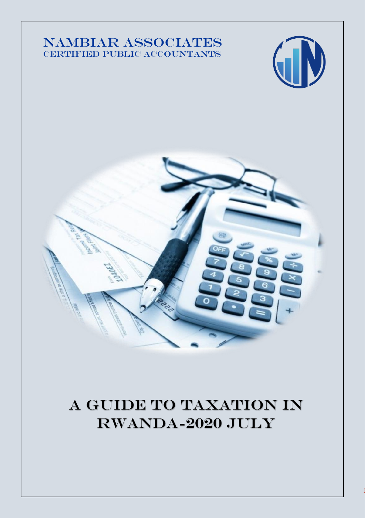## NAMBIAR ASSOCIATES CERTIFIED PUBLIC ACCOUNTANTS





# A Guide to taxation in Rwanda-2020 July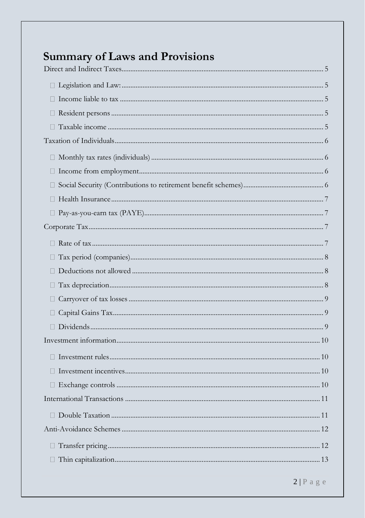| <b>Summary of Laws and Provisions</b> |  |
|---------------------------------------|--|
|                                       |  |
|                                       |  |
|                                       |  |
|                                       |  |
|                                       |  |
|                                       |  |
|                                       |  |
|                                       |  |
|                                       |  |
|                                       |  |
|                                       |  |
|                                       |  |
|                                       |  |
|                                       |  |
|                                       |  |
|                                       |  |
|                                       |  |
| O.                                    |  |
|                                       |  |
|                                       |  |
|                                       |  |
|                                       |  |
|                                       |  |
|                                       |  |
|                                       |  |
|                                       |  |
|                                       |  |
|                                       |  |
|                                       |  |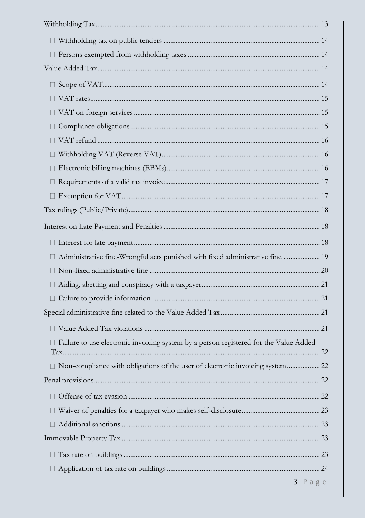| Ш                                                                                       |
|-----------------------------------------------------------------------------------------|
|                                                                                         |
|                                                                                         |
|                                                                                         |
| Ш                                                                                       |
| u                                                                                       |
|                                                                                         |
|                                                                                         |
|                                                                                         |
| □ Administrative fine-Wrongful acts punished with fixed administrative fine  19         |
|                                                                                         |
|                                                                                         |
|                                                                                         |
|                                                                                         |
|                                                                                         |
| □ Failure to use electronic invoicing system by a person registered for the Value Added |
|                                                                                         |
|                                                                                         |
|                                                                                         |
|                                                                                         |
|                                                                                         |
|                                                                                         |
|                                                                                         |
|                                                                                         |
| $3 P$ age                                                                               |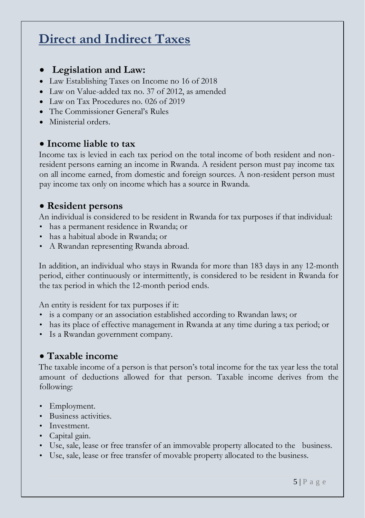# <span id="page-4-0"></span>**Direct and Indirect Taxes**

## <span id="page-4-1"></span>• **Legislation and Law:**

- Law Establishing Taxes on Income no 16 of 2018
- Law on Value-added tax no. 37 of 2012, as amended
- Law on Tax Procedures no. 026 of 2019
- The Commissioner General's Rules
- Ministerial orders.

#### <span id="page-4-2"></span>• **Income liable to tax**

Income tax is levied in each tax period on the total income of both resident and nonresident persons earning an income in Rwanda. A resident person must pay income tax on all income earned, from domestic and foreign sources. A non-resident person must pay income tax only on income which has a source in Rwanda.

#### <span id="page-4-3"></span>• **Resident persons**

An individual is considered to be resident in Rwanda for tax purposes if that individual:

- has a permanent residence in Rwanda; or
- has a habitual abode in Rwanda; or
- A Rwandan representing Rwanda abroad.

In addition, an individual who stays in Rwanda for more than 183 days in any 12-month period, either continuously or intermittently, is considered to be resident in Rwanda for the tax period in which the 12-month period ends.

An entity is resident for tax purposes if it:

- is a company or an association established according to Rwandan laws; or
- has its place of effective management in Rwanda at any time during a tax period; or
- Is a Rwandan government company.

#### <span id="page-4-4"></span>• **Taxable income**

The taxable income of a person is that person's total income for the tax year less the total amount of deductions allowed for that person. Taxable income derives from the following:

- Employment.
- Business activities.
- Investment.
- Capital gain.
- Use, sale, lease or free transfer of an immovable property allocated to the business.
- <span id="page-4-5"></span>• Use, sale, lease or free transfer of movable property allocated to the business.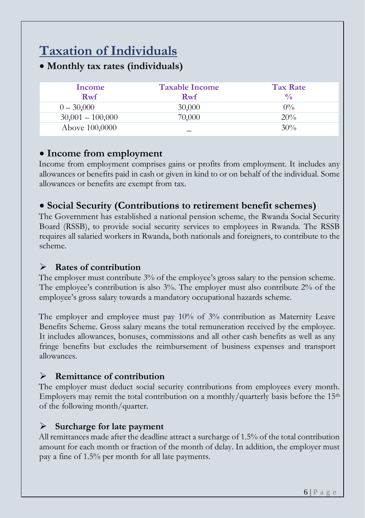# **Taxation of Individuals**

<span id="page-5-0"></span>• **Monthly tax rates (individuals)**

| Income             | <b>Taxable Income</b> | <b>Tax Rate</b> |
|--------------------|-----------------------|-----------------|
| Rwf                | Rwf                   | $\frac{0}{0}$   |
| $0 - 30,000$       | 30,000                | $0\%$           |
| $30,001 - 100,000$ | 70,000                | 20%             |
| Above 100,0000     |                       | 30%             |

#### <span id="page-5-1"></span>• **Income from employment**

Income from employment comprises gains or profits from employment. It includes any allowances or benefits paid in cash or given in kind to or on behalf of the individual. Some allowances or benefits are exempt from tax.

## <span id="page-5-2"></span>• **Social Security (Contributions to retirement benefit schemes)**

The Government has established a national pension scheme, the Rwanda Social Security Board (RSSB), to provide social security services to employees in Rwanda. The RSSB requires all salaried workers in Rwanda, both nationals and foreigners, to contribute to the scheme.

#### ➢ **Rates of contribution**

The employer must contribute 3% of the employee's gross salary to the pension scheme. The employee's contribution is also 3%. The employer must also contribute 2% of the employee's gross salary towards a mandatory occupational hazards scheme.

The employer and employee must pay 10% of 3% contribution as Maternity Leave Benefits Scheme. Gross salary means the total remuneration received by the employee. It includes allowances, bonuses, commissions and all other cash benefits as well as any fringe benefits but excludes the reimbursement of business expenses and transport allowances.

#### ➢ **Remittance of contribution**

The employer must deduct social security contributions from employees every month. Employers may remit the total contribution on a monthly/quarterly basis before the  $15<sup>th</sup>$ of the following month/quarter.

#### ➢ **Surcharge for late payment**

All remittances made after the deadline attract a surcharge of 1.5% of the total contribution amount for each month or fraction of the month of delay. In addition, the employer must pay a fine of 1.5% per month for all late payments.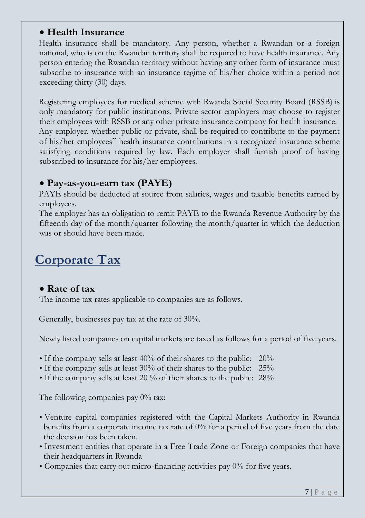### <span id="page-6-0"></span>• **Health Insurance**

Health insurance shall be mandatory. Any person, whether a Rwandan or a foreign national, who is on the Rwandan territory shall be required to have health insurance. Any person entering the Rwandan territory without having any other form of insurance must subscribe to insurance with an insurance regime of his/her choice within a period not exceeding thirty (30) days.

Registering employees for medical scheme with Rwanda Social Security Board (RSSB) is only mandatory for public institutions. Private sector employers may choose to register their employees with RSSB or any other private insurance company for health insurance. Any employer, whether public or private, shall be required to contribute to the payment of his/her employees" health insurance contributions in a recognized insurance scheme satisfying conditions required by law. Each employer shall furnish proof of having subscribed to insurance for his/her employees.

#### <span id="page-6-1"></span>• **Pay-as-you-earn tax (PAYE)**

PAYE should be deducted at source from salaries, wages and taxable benefits earned by employees.

The employer has an obligation to remit PAYE to the Rwanda Revenue Authority by the fifteenth day of the month/quarter following the month/quarter in which the deduction was or should have been made.

## <span id="page-6-2"></span>**Corporate Tax**

#### <span id="page-6-3"></span>• **Rate of tax**

The income tax rates applicable to companies are as follows.

Generally, businesses pay tax at the rate of 30%.

Newly listed companies on capital markets are taxed as follows for a period of five years.

- If the company sells at least 40% of their shares to the public: 20%
- If the company sells at least 30% of their shares to the public: 25%
- If the company sells at least 20 % of their shares to the public: 28%

The following companies pay  $0\%$  tax:

- Venture capital companies registered with the Capital Markets Authority in Rwanda benefits from a corporate income tax rate of 0% for a period of five years from the date the decision has been taken.
- Investment entities that operate in a Free Trade Zone or Foreign companies that have their headquarters in Rwanda
- Companies that carry out micro-financing activities pay 0% for five years.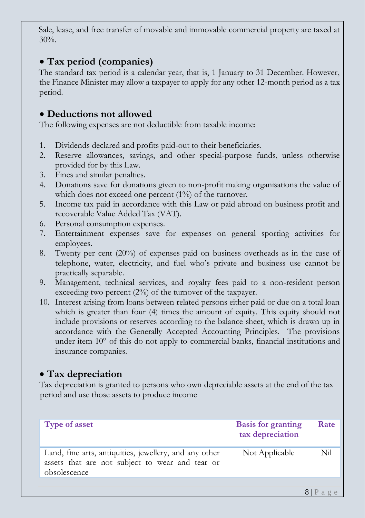Sale, lease, and free transfer of movable and immovable commercial property are taxed at 30%.

#### <span id="page-7-0"></span>• **Tax period (companies)**

The standard tax period is a calendar year, that is, 1 January to 31 December. However, the Finance Minister may allow a taxpayer to apply for any other 12-month period as a tax period.

### <span id="page-7-1"></span>• **Deductions not allowed**

The following expenses are not deductible from taxable income:

- 1. Dividends declared and profits paid-out to their beneficiaries.
- 2. Reserve allowances, savings, and other special-purpose funds, unless otherwise provided for by this Law.
- 3. Fines and similar penalties.
- 4. Donations save for donations given to non-profit making organisations the value of which does not exceed one percent (1%) of the turnover.
- 5. Income tax paid in accordance with this Law or paid abroad on business profit and recoverable Value Added Tax (VAT).
- 6. Personal consumption expenses.
- 7. Entertainment expenses save for expenses on general sporting activities for employees.
- 8. Twenty per cent (20%) of expenses paid on business overheads as in the case of telephone, water, electricity, and fuel who's private and business use cannot be practically separable.
- 9. Management, technical services, and royalty fees paid to a non-resident person exceeding two percent  $(2%)$  of the turnover of the taxpayer.
- 10. Interest arising from loans between related persons either paid or due on a total loan which is greater than four (4) times the amount of equity. This equity should not include provisions or reserves according to the balance sheet, which is drawn up in accordance with the Generally Accepted Accounting Principles. The provisions under item 10° of this do not apply to commercial banks, financial institutions and insurance companies.

## <span id="page-7-2"></span>• **Tax depreciation**

Tax depreciation is granted to persons who own depreciable assets at the end of the tax period and use those assets to produce income

| <b>Type of asset</b>                                                                                                      | <b>Basis for granting</b><br>tax depreciation | Rate        |
|---------------------------------------------------------------------------------------------------------------------------|-----------------------------------------------|-------------|
| Land, fine arts, antiquities, jewellery, and any other<br>assets that are not subject to wear and tear or<br>obsolescence | Not Applicable                                | Nil         |
|                                                                                                                           |                                               |             |
|                                                                                                                           |                                               | $8 P$ a g e |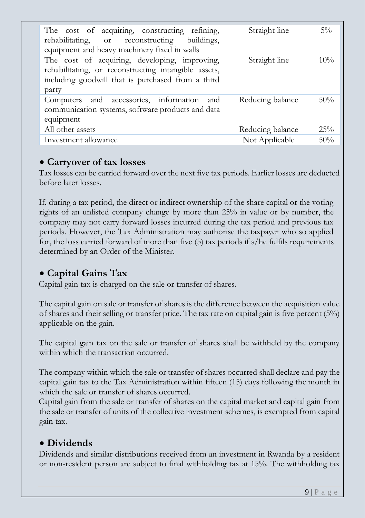| The cost of acquiring, constructing refining,<br>rehabilitating, or reconstructing buildings,<br>equipment and heavy machinery fixed in walls                       | Straight line    | $5\%$  |
|---------------------------------------------------------------------------------------------------------------------------------------------------------------------|------------------|--------|
| The cost of acquiring, developing, improving,<br>rehabilitating, or reconstructing intangible assets,<br>including goodwill that is purchased from a third<br>party | Straight line    | 10%    |
| Computers and accessories, information and<br>communication systems, software products and data<br>equipment                                                        | Reducing balance | 50%    |
| All other assets                                                                                                                                                    | Reducing balance | 25%    |
| Investment allowance                                                                                                                                                | Not Applicable   | $50\%$ |

#### <span id="page-8-0"></span>• **Carryover of tax losses**

Tax losses can be carried forward over the next five tax periods. Earlier losses are deducted before later losses.

If, during a tax period, the direct or indirect ownership of the share capital or the voting rights of an unlisted company change by more than 25% in value or by number, the company may not carry forward losses incurred during the tax period and previous tax periods. However, the Tax Administration may authorise the taxpayer who so applied for, the loss carried forward of more than five (5) tax periods if s/he fulfils requirements determined by an Order of the Minister.

## <span id="page-8-1"></span>• **Capital Gains Tax**

Capital gain tax is charged on the sale or transfer of shares.

The capital gain on sale or transfer of shares is the difference between the acquisition value of shares and their selling or transfer price. The tax rate on capital gain is five percent (5%) applicable on the gain.

The capital gain tax on the sale or transfer of shares shall be withheld by the company within which the transaction occurred.

The company within which the sale or transfer of shares occurred shall declare and pay the capital gain tax to the Tax Administration within fifteen (15) days following the month in which the sale or transfer of shares occurred.

Capital gain from the sale or transfer of shares on the capital market and capital gain from the sale or transfer of units of the collective investment schemes, is exempted from capital gain tax.

## <span id="page-8-2"></span>• **Dividends**

Dividends and similar distributions received from an investment in Rwanda by a resident or non-resident person are subject to final withholding tax at 15%. The withholding tax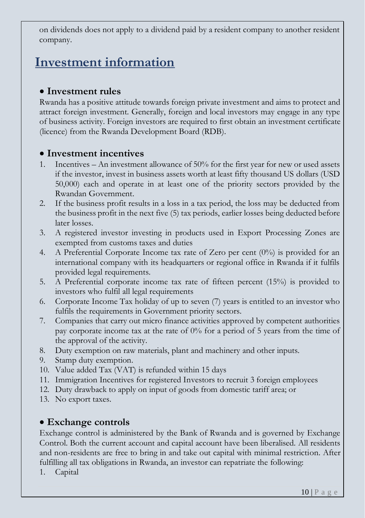on dividends does not apply to a dividend paid by a resident company to another resident company.

## <span id="page-9-0"></span>**Investment information**

#### <span id="page-9-1"></span>• **Investment rules**

Rwanda has a positive attitude towards foreign private investment and aims to protect and attract foreign investment. Generally, foreign and local investors may engage in any type of business activity. Foreign investors are required to first obtain an investment certificate (licence) from the Rwanda Development Board (RDB).

#### <span id="page-9-2"></span>• **Investment incentives**

- 1. Incentives An investment allowance of 50% for the first year for new or used assets if the investor, invest in business assets worth at least fifty thousand US dollars (USD 50,000) each and operate in at least one of the priority sectors provided by the Rwandan Government.
- 2. If the business profit results in a loss in a tax period, the loss may be deducted from the business profit in the next five (5) tax periods, earlier losses being deducted before later losses.
- 3. A registered investor investing in products used in Export Processing Zones are exempted from customs taxes and duties
- 4. A Preferential Corporate Income tax rate of Zero per cent (0%) is provided for an international company with its headquarters or regional office in Rwanda if it fulfils provided legal requirements.
- 5. A Preferential corporate income tax rate of fifteen percent (15%) is provided to investors who fulfil all legal requirements
- 6. Corporate Income Tax holiday of up to seven (7) years is entitled to an investor who fulfils the requirements in Government priority sectors.
- 7. Companies that carry out micro finance activities approved by competent authorities pay corporate income tax at the rate of 0% for a period of 5 years from the time of the approval of the activity.
- 8. Duty exemption on raw materials, plant and machinery and other inputs.
- 9. Stamp duty exemption.
- 10. Value added Tax (VAT) is refunded within 15 days
- 11. Immigration Incentives for registered Investors to recruit 3 foreign employees
- 12. Duty drawback to apply on input of goods from domestic tariff area; or
- 13. No export taxes.

#### <span id="page-9-3"></span>• **Exchange controls**

Exchange control is administered by the Bank of Rwanda and is governed by Exchange Control. Both the current account and capital account have been liberalised. All residents and non-residents are free to bring in and take out capital with minimal restriction. After fulfilling all tax obligations in Rwanda, an investor can repatriate the following:

1. Capital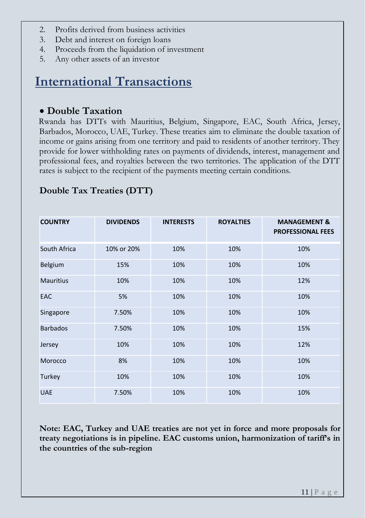- 2. Profits derived from business activities
- 3. Debt and interest on foreign loans
- 4. Proceeds from the liquidation of investment
- 5. Any other assets of an investor

## <span id="page-10-0"></span>**International Transactions**

### <span id="page-10-1"></span>• **Double Taxation**

Rwanda has DTTs with Mauritius, Belgium, Singapore, EAC, South Africa, Jersey, Barbados, Morocco, UAE, Turkey. These treaties aim to eliminate the double taxation of income or gains arising from one territory and paid to residents of another territory. They provide for lower withholding rates on payments of dividends, interest, management and professional fees, and royalties between the two territories. The application of the DTT rates is subject to the recipient of the payments meeting certain conditions.

| <b>COUNTRY</b>   | <b>DIVIDENDS</b> | <b>INTERESTS</b> | <b>ROYALTIES</b> | <b>MANAGEMENT &amp;</b><br><b>PROFESSIONAL FEES</b> |
|------------------|------------------|------------------|------------------|-----------------------------------------------------|
| South Africa     | 10% or 20%       | 10%              | 10%              | 10%                                                 |
| <b>Belgium</b>   | 15%              | 10%              | 10%              | 10%                                                 |
| <b>Mauritius</b> | 10%              | 10%              | 10%              | 12%                                                 |
| <b>EAC</b>       | 5%               | 10%              | 10%              | 10%                                                 |
| Singapore        | 7.50%            | 10%              | 10%              | 10%                                                 |
| <b>Barbados</b>  | 7.50%            | 10%              | 10%              | 15%                                                 |
| Jersey           | 10%              | 10%              | 10%              | 12%                                                 |
| Morocco          | 8%               | 10%              | 10%              | 10%                                                 |
| Turkey           | 10%              | 10%              | 10%              | 10%                                                 |
| <b>UAE</b>       | 7.50%            | 10%              | 10%              | 10%                                                 |

### **Double Tax Treaties (DTT)**

**Note: EAC, Turkey and UAE treaties are not yet in force and more proposals for treaty negotiations is in pipeline. EAC customs union, harmonization of tariff's in the countries of the sub-region**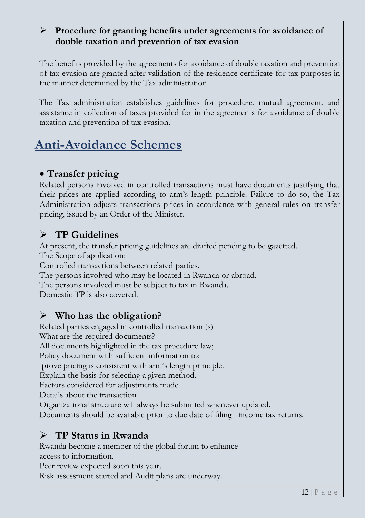#### ➢ **Procedure for granting benefits under agreements for avoidance of double taxation and prevention of tax evasion**

The benefits provided by the agreements for avoidance of double taxation and prevention of tax evasion are granted after validation of the residence certificate for tax purposes in the manner determined by the Tax administration.

The Tax administration establishes guidelines for procedure, mutual agreement, and assistance in collection of taxes provided for in the agreements for avoidance of double taxation and prevention of tax evasion.

# <span id="page-11-0"></span>**Anti-Avoidance Schemes**

## <span id="page-11-1"></span>• **Transfer pricing**

Related persons involved in controlled transactions must have documents justifying that their prices are applied according to arm's length principle. Failure to do so, the Tax Administration adjusts transactions prices in accordance with general rules on transfer pricing, issued by an Order of the Minister.

## ➢ **TP Guidelines**

At present, the transfer pricing guidelines are drafted pending to be gazetted. The Scope of application: Controlled transactions between related parties. The persons involved who may be located in Rwanda or abroad. The persons involved must be subject to tax in Rwanda. Domestic TP is also covered.

## ➢ **Who has the obligation?**

Related parties engaged in controlled transaction (s) What are the required documents? All documents highlighted in the tax procedure law; Policy document with sufficient information to: prove pricing is consistent with arm's length principle. Explain the basis for selecting a given method. Factors considered for adjustments made Details about the transaction Organizational structure will always be submitted whenever updated. Documents should be available prior to due date of filing income tax returns.

## ➢ **TP Status in Rwanda**

Rwanda become a member of the global forum to enhance access to information.

Peer review expected soon this year. Risk assessment started and Audit plans are underway.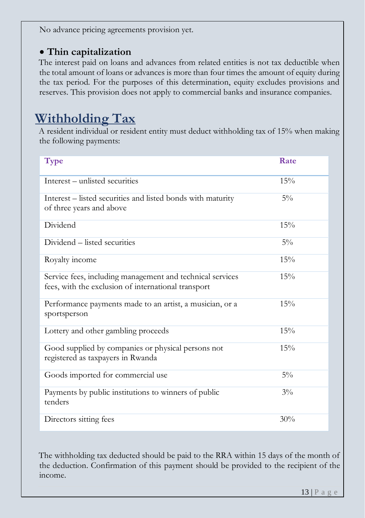No advance pricing agreements provision yet.

## <span id="page-12-0"></span>• **Thin capitalization**

The interest paid on loans and advances from related entities is not tax deductible when the total amount of loans or advances is more than four times the amount of equity during the tax period. For the purposes of this determination, equity excludes provisions and reserves. This provision does not apply to commercial banks and insurance companies.

# <span id="page-12-1"></span>**Withholding Tax**

A resident individual or resident entity must deduct withholding tax of 15% when making the following payments:

| <b>Type</b>                                                                                                      | Rate  |
|------------------------------------------------------------------------------------------------------------------|-------|
| Interest – unlisted securities                                                                                   | 15%   |
| Interest – listed securities and listed bonds with maturity<br>of three years and above                          | $5\%$ |
| Dividend                                                                                                         | 15%   |
| Dividend – listed securities                                                                                     | $5\%$ |
| Royalty income                                                                                                   | 15%   |
| Service fees, including management and technical services<br>fees, with the exclusion of international transport | 15%   |
| Performance payments made to an artist, a musician, or a<br>sportsperson                                         | 15%   |
| Lottery and other gambling proceeds                                                                              | 15%   |
| Good supplied by companies or physical persons not<br>registered as taxpayers in Rwanda                          | 15%   |
| Goods imported for commercial use                                                                                | $5\%$ |
| Payments by public institutions to winners of public<br>tenders                                                  | $3\%$ |
| Directors sitting fees                                                                                           | 30%   |

The withholding tax deducted should be paid to the RRA within 15 days of the month of the deduction. Confirmation of this payment should be provided to the recipient of the income.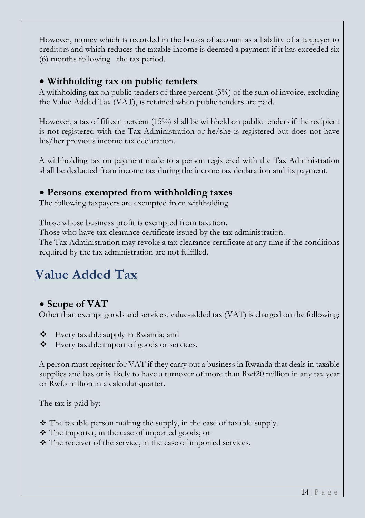However, money which is recorded in the books of account as a liability of a taxpayer to creditors and which reduces the taxable income is deemed a payment if it has exceeded six (6) months following the tax period.

### <span id="page-13-0"></span>• **Withholding tax on public tenders**

A withholding tax on public tenders of three percent (3%) of the sum of invoice, excluding the Value Added Tax (VAT), is retained when public tenders are paid.

However, a tax of fifteen percent (15%) shall be withheld on public tenders if the recipient is not registered with the Tax Administration or he/she is registered but does not have his/her previous income tax declaration.

A withholding tax on payment made to a person registered with the Tax Administration shall be deducted from income tax during the income tax declaration and its payment.

## <span id="page-13-1"></span>• **Persons exempted from withholding taxes**

The following taxpayers are exempted from withholding

Those whose business profit is exempted from taxation.

Those who have tax clearance certificate issued by the tax administration.

The Tax Administration may revoke a tax clearance certificate at any time if the conditions required by the tax administration are not fulfilled.

# <span id="page-13-2"></span>**Value Added Tax**

## <span id="page-13-3"></span>• **Scope of VAT**

Other than exempt goods and services, value-added tax (VAT) is charged on the following:

- ❖ Every taxable supply in Rwanda; and
- ❖ Every taxable import of goods or services.

A person must register for VAT if they carry out a business in Rwanda that deals in taxable supplies and has or is likely to have a turnover of more than Rwf20 million in any tax year or Rwf5 million in a calendar quarter.

The tax is paid by:

- $\cdot$  The taxable person making the supply, in the case of taxable supply.
- ❖ The importer, in the case of imported goods; or
- ❖ The receiver of the service, in the case of imported services.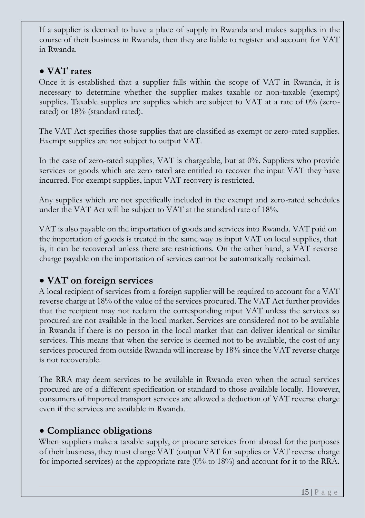If a supplier is deemed to have a place of supply in Rwanda and makes supplies in the course of their business in Rwanda, then they are liable to register and account for VAT in Rwanda.

#### <span id="page-14-0"></span>• **VAT rates**

Once it is established that a supplier falls within the scope of VAT in Rwanda, it is necessary to determine whether the supplier makes taxable or non-taxable (exempt) supplies. Taxable supplies are supplies which are subject to VAT at a rate of 0% (zerorated) or 18% (standard rated).

The VAT Act specifies those supplies that are classified as exempt or zero-rated supplies. Exempt supplies are not subject to output VAT.

In the case of zero-rated supplies, VAT is chargeable, but at 0%. Suppliers who provide services or goods which are zero rated are entitled to recover the input VAT they have incurred. For exempt supplies, input VAT recovery is restricted.

Any supplies which are not specifically included in the exempt and zero-rated schedules under the VAT Act will be subject to VAT at the standard rate of 18%.

VAT is also payable on the importation of goods and services into Rwanda. VAT paid on the importation of goods is treated in the same way as input VAT on local supplies, that is, it can be recovered unless there are restrictions. On the other hand, a VAT reverse charge payable on the importation of services cannot be automatically reclaimed.

## <span id="page-14-1"></span>• **VAT on foreign services**

A local recipient of services from a foreign supplier will be required to account for a VAT reverse charge at 18% of the value of the services procured. The VAT Act further provides that the recipient may not reclaim the corresponding input VAT unless the services so procured are not available in the local market. Services are considered not to be available in Rwanda if there is no person in the local market that can deliver identical or similar services. This means that when the service is deemed not to be available, the cost of any services procured from outside Rwanda will increase by 18% since the VAT reverse charge is not recoverable.

The RRA may deem services to be available in Rwanda even when the actual services procured are of a different specification or standard to those available locally. However, consumers of imported transport services are allowed a deduction of VAT reverse charge even if the services are available in Rwanda.

#### <span id="page-14-2"></span>• **Compliance obligations**

When suppliers make a taxable supply, or procure services from abroad for the purposes of their business, they must charge VAT (output VAT for supplies or VAT reverse charge for imported services) at the appropriate rate (0% to 18%) and account for it to the RRA.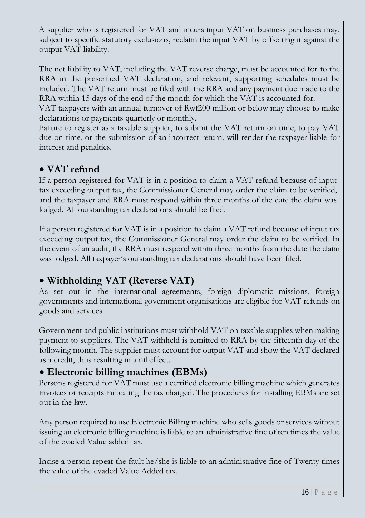A supplier who is registered for VAT and incurs input VAT on business purchases may, subject to specific statutory exclusions, reclaim the input VAT by offsetting it against the output VAT liability.

The net liability to VAT, including the VAT reverse charge, must be accounted for to the RRA in the prescribed VAT declaration, and relevant, supporting schedules must be included. The VAT return must be filed with the RRA and any payment due made to the RRA within 15 days of the end of the month for which the VAT is accounted for.

VAT taxpayers with an annual turnover of Rwf200 million or below may choose to make declarations or payments quarterly or monthly.

Failure to register as a taxable supplier, to submit the VAT return on time, to pay VAT due on time, or the submission of an incorrect return, will render the taxpayer liable for interest and penalties.

## <span id="page-15-0"></span>• **VAT refund**

If a person registered for VAT is in a position to claim a VAT refund because of input tax exceeding output tax, the Commissioner General may order the claim to be verified, and the taxpayer and RRA must respond within three months of the date the claim was lodged. All outstanding tax declarations should be filed.

If a person registered for VAT is in a position to claim a VAT refund because of input tax exceeding output tax, the Commissioner General may order the claim to be verified. In the event of an audit, the RRA must respond within three months from the date the claim was lodged. All taxpayer's outstanding tax declarations should have been filed.

## <span id="page-15-1"></span>• **Withholding VAT (Reverse VAT)**

As set out in the international agreements, foreign diplomatic missions, foreign governments and international government organisations are eligible for VAT refunds on goods and services.

Government and public institutions must withhold VAT on taxable supplies when making payment to suppliers. The VAT withheld is remitted to RRA by the fifteenth day of the following month. The supplier must account for output VAT and show the VAT declared as a credit, thus resulting in a nil effect.

## <span id="page-15-2"></span>• **Electronic billing machines (EBMs)**

Persons registered for VAT must use a certified electronic billing machine which generates invoices or receipts indicating the tax charged. The procedures for installing EBMs are set out in the law.

Any person required to use Electronic Billing machine who sells goods or services without issuing an electronic billing machine is liable to an administrative fine of ten times the value of the evaded Value added tax.

Incise a person repeat the fault he/she is liable to an administrative fine of Twenty times the value of the evaded Value Added tax.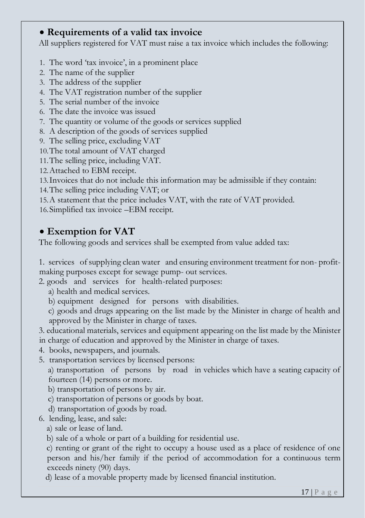## <span id="page-16-0"></span>• **Requirements of a valid tax invoice**

All suppliers registered for VAT must raise a tax invoice which includes the following:

- 1. The word 'tax invoice', in a prominent place
- 2. The name of the supplier
- 3. The address of the supplier
- 4. The VAT registration number of the supplier
- 5. The serial number of the invoice
- 6. The date the invoice was issued
- 7. The quantity or volume of the goods or services supplied
- 8. A description of the goods of services supplied
- 9. The selling price, excluding VAT
- 10.The total amount of VAT charged
- 11.The selling price, including VAT.
- 12.Attached to EBM receipt.
- 13.Invoices that do not include this information may be admissible if they contain:
- 14.The selling price including VAT; or
- 15.A statement that the price includes VAT, with the rate of VAT provided.
- 16.Simplified tax invoice –EBM receipt.

## <span id="page-16-1"></span>• **Exemption for VAT**

The following goods and services shall be exempted from value added tax:

1. services of supplying clean water and ensuring environment treatment for non- profitmaking purposes except for sewage pump- out services.

- 2. goods and services for health-related purposes:
	- a) health and medical services.
	- b) equipment designed for persons with disabilities.
	- c) goods and drugs appearing on the list made by the Minister in charge of health and approved by the Minister in charge of taxes.
- 3. educational materials, services and equipment appearing on the list made by the Minister in charge of education and approved by the Minister in charge of taxes.
- 4. books, newspapers, and journals.
- 5. transportation services by licensed persons:

a) transportation of persons by road in vehicles which have a seating capacity of fourteen (14) persons or more.

- b) transportation of persons by air.
- c) transportation of persons or goods by boat.
- d) transportation of goods by road.
- 6. lending, lease, and sale:
	- a) sale or lease of land.
	- b) sale of a whole or part of a building for residential use.

c) renting or grant of the right to occupy a house used as a place of residence of one person and his/her family if the period of accommodation for a continuous term exceeds ninety (90) days.

d) lease of a movable property made by licensed financial institution.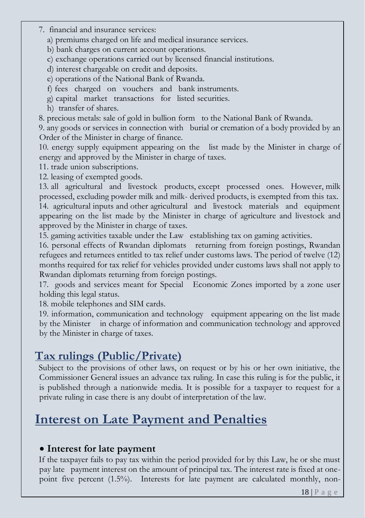- 7. financial and insurance services:
	- a) premiums charged on life and medical insurance services.
	- b) bank charges on current account operations.
	- c) exchange operations carried out by licensed financial institutions.
	- d) interest chargeable on credit and deposits.
	- e) operations of the National Bank of Rwanda.
	- f) fees charged on vouchers and bank instruments.
	- g) capital market transactions for listed securities.
	- h) transfer of shares.
- 8. precious metals: sale of gold in bullion form to the National Bank of Rwanda.

9. any goods or services in connection with burial or cremation of a body provided by an Order of the Minister in charge of finance.

10. energy supply equipment appearing on the list made by the Minister in charge of energy and approved by the Minister in charge of taxes.

11. trade union subscriptions.

12. leasing of exempted goods.

13. all agricultural and livestock products, except processed ones. However, milk processed, excluding powder milk and milk- derived products, is exempted from this tax. 14. agricultural inputs and other agricultural and livestock materials and equipment appearing on the list made by the Minister in charge of agriculture and livestock and approved by the Minister in charge of taxes.

15. gaming activities taxable under the Law establishing tax on gaming activities.

16. personal effects of Rwandan diplomats returning from foreign postings, Rwandan refugees and returnees entitled to tax relief under customs laws. The period of twelve (12) months required for tax relief for vehicles provided under customs laws shall not apply to Rwandan diplomats returning from foreign postings.

17. goods and services meant for Special Economic Zones imported by a zone user holding this legal status.

18. mobile telephones and SIM cards.

19. information, communication and technology equipment appearing on the list made by the Minister in charge of information and communication technology and approved by the Minister in charge of taxes.

## <span id="page-17-0"></span>**Tax rulings (Public/Private)**

Subject to the provisions of other laws, on request or by his or her own initiative, the Commissioner General issues an advance tax ruling. In case this ruling is for the public, it is published through a nationwide media. It is possible for a taxpayer to request for a private ruling in case there is any doubt of interpretation of the law.

# <span id="page-17-1"></span>**Interest on Late Payment and Penalties**

#### <span id="page-17-2"></span>• **Interest for late payment**

If the taxpayer fails to pay tax within the period provided for by this Law, he or she must pay late payment interest on the amount of principal tax. The interest rate is fixed at onepoint five percent (1.5%). Interests for late payment are calculated monthly, non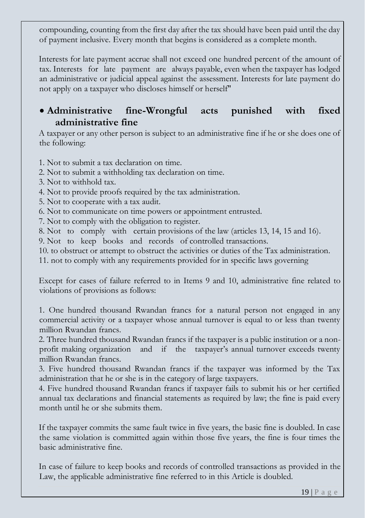compounding, counting from the first day after the tax should have been paid until the day of payment inclusive. Every month that begins is considered as a complete month.

Interests for late payment accrue shall not exceed one hundred percent of the amount of tax. Interests for late payment are always payable, even when the taxpayer has lodged an administrative or judicial appeal against the assessment. Interests for late payment do not apply on a taxpayer who discloses himself or herself"

## <span id="page-18-0"></span>• **Administrative fine-Wrongful acts punished with fixed administrative fine**

A taxpayer or any other person is subject to an administrative fine if he or she does one of the following:

1. Not to submit a tax declaration on time.

- 2. Not to submit a withholding tax declaration on time.
- 3. Not to withhold tax.
- 4. Not to provide proofs required by the tax administration.
- 5. Not to cooperate with a tax audit.

6. Not to communicate on time powers or appointment entrusted.

- 7. Not to comply with the obligation to register.
- 8. Not to comply with certain provisions of the law (articles 13, 14, 15 and 16).

9. Not to keep books and records of controlled transactions.

10. to obstruct or attempt to obstruct the activities or duties of the Tax administration. 11. not to comply with any requirements provided for in specific laws governing

Except for cases of failure referred to in Items 9 and 10, administrative fine related to violations of provisions as follows:

1. One hundred thousand Rwandan francs for a natural person not engaged in any commercial activity or a taxpayer whose annual turnover is equal to or less than twenty million Rwandan francs.

2. Three hundred thousand Rwandan francs if the taxpayer is a public institution or a nonprofit making organization and if the taxpayer's annual turnover exceeds twenty million Rwandan francs.

3. Five hundred thousand Rwandan francs if the taxpayer was informed by the Tax administration that he or she is in the category of large taxpayers.

4. Five hundred thousand Rwandan francs if taxpayer fails to submit his or her certified annual tax declarations and financial statements as required by law; the fine is paid every month until he or she submits them.

If the taxpayer commits the same fault twice in five years, the basic fine is doubled. In case the same violation is committed again within those five years, the fine is four times the basic administrative fine.

In case of failure to keep books and records of controlled transactions as provided in the Law, the applicable administrative fine referred to in this Article is doubled.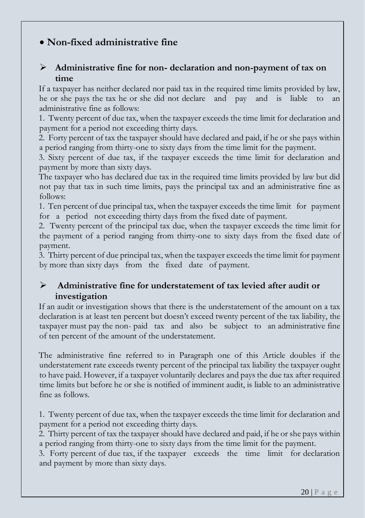## <span id="page-19-0"></span>• **Non-fixed administrative fine**

#### ➢ **Administrative fine for non- declaration and non-payment of tax on time**

If a taxpayer has neither declared nor paid tax in the required time limits provided by law, he or she pays the tax he or she did not declare and pay and is liable to an administrative fine as follows:

1. Twenty percent of due tax, when the taxpayer exceeds the time limit for declaration and payment for a period not exceeding thirty days.

2. Forty percent of tax the taxpayer should have declared and paid, if he or she pays within a period ranging from thirty-one to sixty days from the time limit for the payment.

3. Sixty percent of due tax, if the taxpayer exceeds the time limit for declaration and payment by more than sixty days.

The taxpayer who has declared due tax in the required time limits provided by law but did not pay that tax in such time limits, pays the principal tax and an administrative fine as follows:

1. Ten percent of due principal tax, when the taxpayer exceeds the time limit for payment for a period not exceeding thirty days from the fixed date of payment.

2. Twenty percent of the principal tax due, when the taxpayer exceeds the time limit for the payment of a period ranging from thirty-one to sixty days from the fixed date of payment.

3. Thirty percent of due principal tax, when the taxpayer exceeds the time limit for payment by more than sixty days from the fixed date of payment.

#### ➢ **Administrative fine for understatement of tax levied after audit or investigation**

If an audit or investigation shows that there is the understatement of the amount on a tax declaration is at least ten percent but doesn't exceed twenty percent of the tax liability, the taxpayer must pay the non- paid tax and also be subject to an administrative fine of ten percent of the amount of the understatement.

The administrative fine referred to in Paragraph one of this Article doubles if the understatement rate exceeds twenty percent of the principal tax liability the taxpayer ought to have paid. However, if a taxpayer voluntarily declares and pays the due tax after required time limits but before he or she is notified of imminent audit, is liable to an administrative fine as follows.

1. Twenty percent of due tax, when the taxpayer exceeds the time limit for declaration and payment for a period not exceeding thirty days.

2. Thirty percent of tax the taxpayer should have declared and paid, if he or she pays within a period ranging from thirty-one to sixty days from the time limit for the payment.

3. Forty percent of due tax, if the taxpayer exceeds the time limit for declaration and payment by more than sixty days.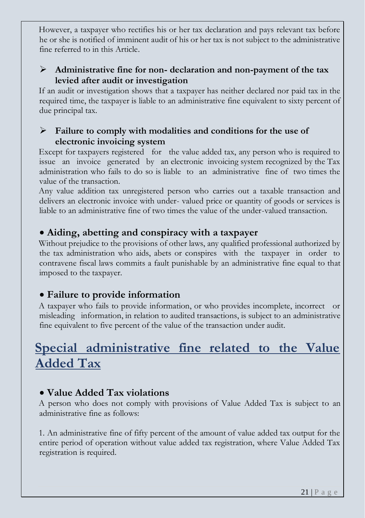However, a taxpayer who rectifies his or her tax declaration and pays relevant tax before he or she is notified of imminent audit of his or her tax is not subject to the administrative fine referred to in this Article.

#### ➢ **Administrative fine for non- declaration and non-payment of the tax levied after audit or investigation**

If an audit or investigation shows that a taxpayer has neither declared nor paid tax in the required time, the taxpayer is liable to an administrative fine equivalent to sixty percent of due principal tax.

#### ➢ **Failure to comply with modalities and conditions for the use of electronic invoicing system**

Except for taxpayers registered for the value added tax, any person who is required to issue an invoice generated by an electronic invoicing system recognized by the Tax administration who fails to do so is liable to an administrative fine of two times the value of the transaction.

Any value addition tax unregistered person who carries out a taxable transaction and delivers an electronic invoice with under- valued price or quantity of goods or services is liable to an administrative fine of two times the value of the under-valued transaction.

### <span id="page-20-0"></span>• **Aiding, abetting and conspiracy with a taxpayer**

Without prejudice to the provisions of other laws, any qualified professional authorized by the tax administration who aids, abets or conspires with the taxpayer in order to contravene fiscal laws commits a fault punishable by an administrative fine equal to that imposed to the taxpayer.

## <span id="page-20-1"></span>• **Failure to provide information**

A taxpayer who fails to provide information, or who provides incomplete, incorrect or misleading information, in relation to audited transactions, is subject to an administrative fine equivalent to five percent of the value of the transaction under audit.

## <span id="page-20-2"></span>**Special administrative fine related to the Value Added Tax**

## <span id="page-20-3"></span>• **Value Added Tax violations**

A person who does not comply with provisions of Value Added Tax is subject to an administrative fine as follows:

1. An administrative fine of fifty percent of the amount of value added tax output for the entire period of operation without value added tax registration, where Value Added Tax registration is required.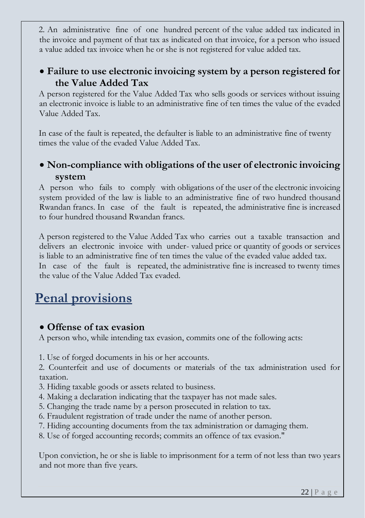2. An administrative fine of one hundred percent of the value added tax indicated in the invoice and payment of that tax as indicated on that invoice, for a person who issued a value added tax invoice when he or she is not registered for value added tax.

## <span id="page-21-0"></span>• **Failure to use electronic invoicing system by a person registered for the Value Added Tax**

A person registered for the Value Added Tax who sells goods or services without issuing an electronic invoice is liable to an administrative fine of ten times the value of the evaded Value Added Tax.

In case of the fault is repeated, the defaulter is liable to an administrative fine of twenty times the value of the evaded Value Added Tax.

## <span id="page-21-1"></span>• **Non-compliance with obligations of the user of electronic invoicing system**

A person who fails to comply with obligations of the user of the electronic invoicing system provided of the law is liable to an administrative fine of two hundred thousand Rwandan francs. In case of the fault is repeated, the administrative fine is increased to four hundred thousand Rwandan francs.

A person registered to the Value Added Tax who carries out a taxable transaction and delivers an electronic invoice with under- valued price or quantity of goods or services is liable to an administrative fine of ten times the value of the evaded value added tax. In case of the fault is repeated, the administrative fine is increased to twenty times the value of the Value Added Tax evaded.

## <span id="page-21-2"></span>**Penal provisions**

#### <span id="page-21-3"></span>• **Offense of tax evasion**

A person who, while intending tax evasion, commits one of the following acts:

1. Use of forged documents in his or her accounts.

2. Counterfeit and use of documents or materials of the tax administration used for taxation.

- 3. Hiding taxable goods or assets related to business.
- 4. Making a declaration indicating that the taxpayer has not made sales.
- 5. Changing the trade name by a person prosecuted in relation to tax.
- 6. Fraudulent registration of trade under the name of another person.
- 7. Hiding accounting documents from the tax administration or damaging them.
- 8. Use of forged accounting records; commits an offence of tax evasion."

Upon conviction, he or she is liable to imprisonment for a term of not less than two years and not more than five years.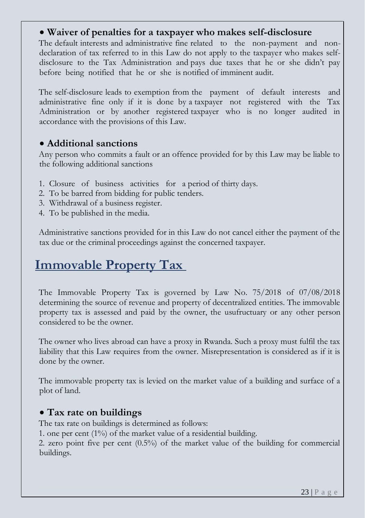#### <span id="page-22-0"></span>• **Waiver of penalties for a taxpayer who makes self-disclosure**

The default interests and administrative fine related to the non-payment and nondeclaration of tax referred to in this Law do not apply to the taxpayer who makes selfdisclosure to the Tax Administration and pays due taxes that he or she didn't pay before being notified that he or she is notified of imminent audit.

The self-disclosure leads to exemption from the payment of default interests and administrative fine only if it is done by a taxpayer not registered with the Tax Administration or by another registered taxpayer who is no longer audited in accordance with the provisions of this Law.

#### <span id="page-22-1"></span>• **Additional sanctions**

Any person who commits a fault or an offence provided for by this Law may be liable to the following additional sanctions

- 1. Closure of business activities for a period of thirty days.
- 2. To be barred from bidding for public tenders.
- 3. Withdrawal of a business register.
- 4. To be published in the media.

Administrative sanctions provided for in this Law do not cancel either the payment of the tax due or the criminal proceedings against the concerned taxpayer.

## <span id="page-22-2"></span>**Immovable Property Tax**

The Immovable Property Tax is governed by Law No. 75/2018 of 07/08/2018 determining the source of revenue and property of decentralized entities. The immovable property tax is assessed and paid by the owner, the usufructuary or any other person considered to be the owner.

The owner who lives abroad can have a proxy in Rwanda. Such a proxy must fulfil the tax liability that this Law requires from the owner. Misrepresentation is considered as if it is done by the owner.

The immovable property tax is levied on the market value of a building and surface of a plot of land.

#### <span id="page-22-3"></span>• **Tax rate on buildings**

The tax rate on buildings is determined as follows:

1. one per cent  $(1\%)$  of the market value of a residential building.

2. zero point five per cent (0.5%) of the market value of the building for commercial buildings.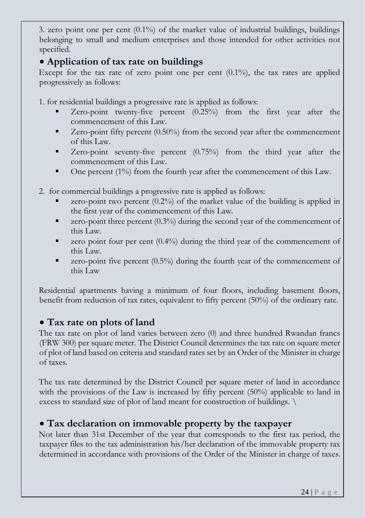3. zero point one per cent  $(0.1\%)$  of the market value of industrial buildings, buildings belonging to small and medium enterprises and those intended for other activities not specified.

#### <span id="page-23-0"></span>• **Application of tax rate on buildings**

Except for the tax rate of zero point one per cent  $(0.1\%)$ , the tax rates are applied progressively as follows:

1. for residential buildings a progressive rate is applied as follows:

- Zero-point twenty-five percent (0.25%) from the first year after the commencement of this Law.
- Zero-point fifty percent (0.50%) from the second year after the commencement of this Law.
- Zero-point seventy-five percent (0.75%) from the third year after the commencement of this Law.
- One percent (1%) from the fourth year after the commencement of this Law.
- 2. for commercial buildings a progressive rate is applied as follows:
	- zero-point two percent  $(0.2\%)$  of the market value of the building is applied in the first year of the commencement of this Law.
	- $\bullet$  zero-point three percent (0.3%) during the second year of the commencement of this Law.
	- $\bullet$  zero point four per cent  $(0.4\%)$  during the third year of the commencement of this Law.
	- $\bullet$  zero-point five percent (0.5%) during the fourth year of the commencement of this Law

Residential apartments having a minimum of four floors, including basement floors, benefit from reduction of tax rates, equivalent to fifty percent (50%) of the ordinary rate.

## <span id="page-23-1"></span>• **Tax rate on plots of land**

The tax rate on plot of land varies between zero (0) and three hundred Rwandan francs (FRW 300) per square meter. The District Council determines the tax rate on square meter of plot of land based on criteria and standard rates set by an Order of the Minister in charge of taxes.

The tax rate determined by the District Council per square meter of land in accordance with the provisions of the Law is increased by fifty percent (50%) applicable to land in excess to standard size of plot of land meant for construction of buildings. \

## <span id="page-23-2"></span>• **Tax declaration on immovable property by the taxpayer**

Not later than 31st December of the year that corresponds to the first tax period, the taxpayer files to the tax administration his/her declaration of the immovable property tax determined in accordance with provisions of the Order of the Minister in charge of taxes.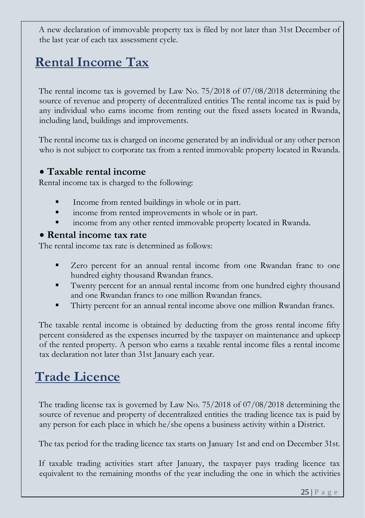A new declaration of immovable property tax is filed by not later than 31st December of the last year of each tax assessment cycle.

# <span id="page-24-0"></span>**Rental Income Tax**

The rental income tax is governed by Law No. 75/2018 of 07/08/2018 determining the source of revenue and property of decentralized entities The rental income tax is paid by any individual who earns income from renting out the fixed assets located in Rwanda, including land, buildings and improvements.

The rental income tax is charged on income generated by an individual or any other person who is not subject to corporate tax from a rented immovable property located in Rwanda.

#### <span id="page-24-1"></span>• **Taxable rental income**

Rental income tax is charged to the following:

- Income from rented buildings in whole or in part.
- income from rented improvements in whole or in part.
- income from any other rented immovable property located in Rwanda.

#### <span id="page-24-2"></span>• **Rental income tax rate**

The rental income tax rate is determined as follows:

- Zero percent for an annual rental income from one Rwandan franc to one hundred eighty thousand Rwandan francs.
- Twenty percent for an annual rental income from one hundred eighty thousand and one Rwandan francs to one million Rwandan francs.
- Thirty percent for an annual rental income above one million Rwandan francs.

The taxable rental income is obtained by deducting from the gross rental income fifty percent considered as the expenses incurred by the taxpayer on maintenance and upkeep of the rented property. A person who earns a taxable rental income files a rental income tax declaration not later than 31st January each year.

## <span id="page-24-3"></span>**Trade Licence**

The trading license tax is governed by Law No. 75/2018 of 07/08/2018 determining the source of revenue and property of decentralized entities the trading licence tax is paid by any person for each place in which he/she opens a business activity within a District.

The tax period for the trading licence tax starts on January 1st and end on December 31st.

If taxable trading activities start after January, the taxpayer pays trading licence tax equivalent to the remaining months of the year including the one in which the activities